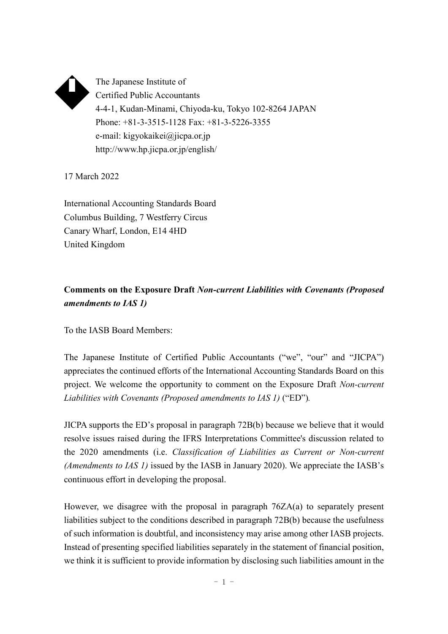

The Japanese Institute of Certified Public Accountants 4-4-1, Kudan-Minami, Chiyoda-ku, Tokyo 102-8264 JAPAN Phone: +81-3-3515-1128 Fax: +81-3-5226-3355 e-mail: kigyokaikei@jicpa.or.jp http://www.hp.jicpa.or.jp/english/

17 March 2022

International Accounting Standards Board Columbus Building, 7 Westferry Circus Canary Wharf, London, E14 4HD United Kingdom

# **Comments on the Exposure Draft** *Non-current Liabilities with Covenants (Proposed amendments to IAS 1)*

To the IASB Board Members:

The Japanese Institute of Certified Public Accountants ("we", "our" and "JICPA") appreciates the continued efforts of the International Accounting Standards Board on this project. We welcome the opportunity to comment on the Exposure Draft *Non-current Liabilities with Covenants (Proposed amendments to IAS 1)* ("ED")*.*

JICPA supports the ED's proposal in paragraph 72B(b) because we believe that it would resolve issues raised during the IFRS Interpretations Committee's discussion related to the 2020 amendments (i.e. *Classification of Liabilities as Current or Non-current (Amendments to IAS 1)* issued by the IASB in January 2020). We appreciate the IASB's continuous effort in developing the proposal.

However, we disagree with the proposal in paragraph 76ZA(a) to separately present liabilities subject to the conditions described in paragraph 72B(b) because the usefulness of such information is doubtful, and inconsistency may arise among other IASB projects. Instead of presenting specified liabilities separately in the statement of financial position, we think it is sufficient to provide information by disclosing such liabilities amount in the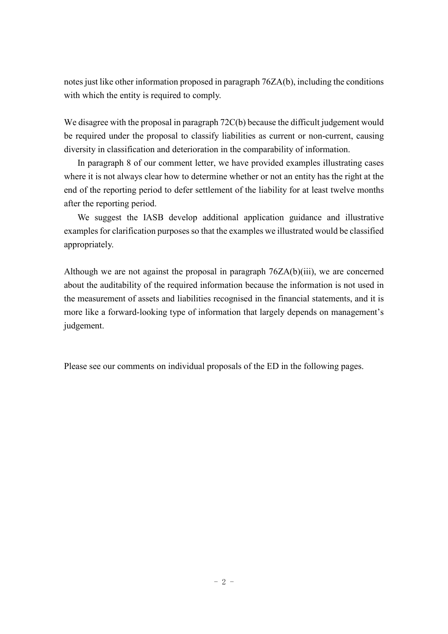notes just like other information proposed in paragraph 76ZA(b), including the conditions with which the entity is required to comply.

We disagree with the proposal in paragraph 72C(b) because the difficult judgement would be required under the proposal to classify liabilities as current or non-current, causing diversity in classification and deterioration in the comparability of information.

In paragraph 8 of our comment letter, we have provided examples illustrating cases where it is not always clear how to determine whether or not an entity has the right at the end of the reporting period to defer settlement of the liability for at least twelve months after the reporting period.

We suggest the IASB develop additional application guidance and illustrative examples for clarification purposes so that the examples we illustrated would be classified appropriately.

Although we are not against the proposal in paragraph 76ZA(b)(iii), we are concerned about the auditability of the required information because the information is not used in the measurement of assets and liabilities recognised in the financial statements, and it is more like a forward-looking type of information that largely depends on management's judgement.

Please see our comments on individual proposals of the ED in the following pages.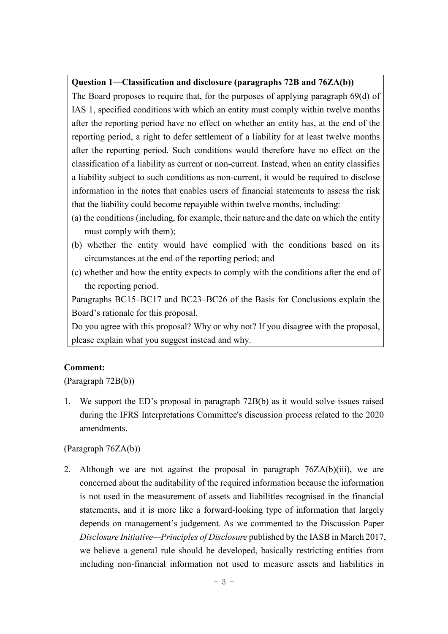## **Question 1—Classification and disclosure (paragraphs 72B and 76ZA(b))**

The Board proposes to require that, for the purposes of applying paragraph 69(d) of IAS 1, specified conditions with which an entity must comply within twelve months after the reporting period have no effect on whether an entity has, at the end of the reporting period, a right to defer settlement of a liability for at least twelve months after the reporting period. Such conditions would therefore have no effect on the classification of a liability as current or non-current. Instead, when an entity classifies a liability subject to such conditions as non-current, it would be required to disclose information in the notes that enables users of financial statements to assess the risk that the liability could become repayable within twelve months, including:

- (a) the conditions (including, for example, their nature and the date on which the entity must comply with them);
- (b) whether the entity would have complied with the conditions based on its circumstances at the end of the reporting period; and
- (c) whether and how the entity expects to comply with the conditions after the end of the reporting period.

Paragraphs BC15–BC17 and BC23–BC26 of the Basis for Conclusions explain the Board's rationale for this proposal.

Do you agree with this proposal? Why or why not? If you disagree with the proposal, please explain what you suggest instead and why.

## **Comment:**

(Paragraph 72B(b))

1. We support the ED's proposal in paragraph 72B(b) as it would solve issues raised during the IFRS Interpretations Committee's discussion process related to the 2020 amendments.

## (Paragraph 76ZA(b))

2. Although we are not against the proposal in paragraph  $76ZA(b)(iii)$ , we are concerned about the auditability of the required information because the information is not used in the measurement of assets and liabilities recognised in the financial statements, and it is more like a forward-looking type of information that largely depends on management's judgement. As we commented to the Discussion Paper *Disclosure Initiative—Principles of Disclosure* published by the IASB in March 2017, we believe a general rule should be developed, basically restricting entities from including non-financial information not used to measure assets and liabilities in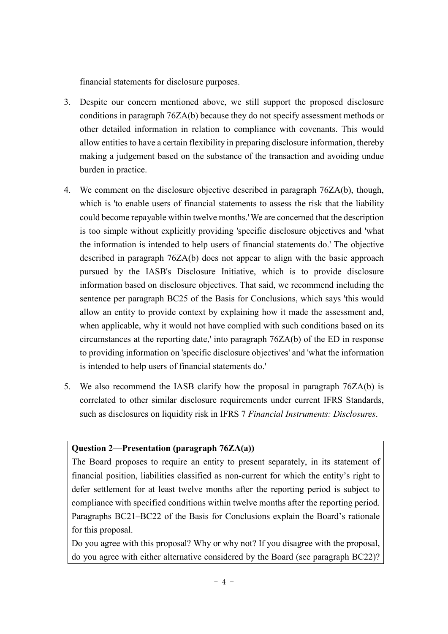financial statements for disclosure purposes.

- 3. Despite our concern mentioned above, we still support the proposed disclosure conditions in paragraph 76ZA(b) because they do not specify assessment methods or other detailed information in relation to compliance with covenants. This would allow entities to have a certain flexibility in preparing disclosure information, thereby making a judgement based on the substance of the transaction and avoiding undue burden in practice.
- 4. We comment on the disclosure objective described in paragraph 76ZA(b), though, which is 'to enable users of financial statements to assess the risk that the liability could become repayable within twelve months.' We are concerned that the description is too simple without explicitly providing 'specific disclosure objectives and 'what the information is intended to help users of financial statements do.' The objective described in paragraph 76ZA(b) does not appear to align with the basic approach pursued by the IASB's Disclosure Initiative, which is to provide disclosure information based on disclosure objectives. That said, we recommend including the sentence per paragraph BC25 of the Basis for Conclusions, which says 'this would allow an entity to provide context by explaining how it made the assessment and, when applicable, why it would not have complied with such conditions based on its circumstances at the reporting date,' into paragraph 76ZA(b) of the ED in response to providing information on 'specific disclosure objectives' and 'what the information is intended to help users of financial statements do.'
- 5. We also recommend the IASB clarify how the proposal in paragraph 76ZA(b) is correlated to other similar disclosure requirements under current IFRS Standards, such as disclosures on liquidity risk in IFRS 7 *Financial Instruments: Disclosures*.

## **Question 2—Presentation (paragraph 76ZA(a))**

The Board proposes to require an entity to present separately, in its statement of financial position, liabilities classified as non-current for which the entity's right to defer settlement for at least twelve months after the reporting period is subject to compliance with specified conditions within twelve months after the reporting period. Paragraphs BC21–BC22 of the Basis for Conclusions explain the Board's rationale for this proposal.

Do you agree with this proposal? Why or why not? If you disagree with the proposal, do you agree with either alternative considered by the Board (see paragraph BC22)?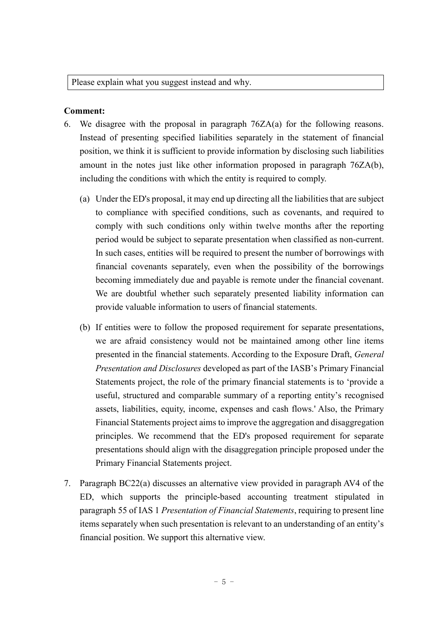Please explain what you suggest instead and why.

### **Comment:**

- 6. We disagree with the proposal in paragraph 76ZA(a) for the following reasons. Instead of presenting specified liabilities separately in the statement of financial position, we think it is sufficient to provide information by disclosing such liabilities amount in the notes just like other information proposed in paragraph 76ZA(b), including the conditions with which the entity is required to comply.
	- (a) Under the ED's proposal, it may end up directing all the liabilities that are subject to compliance with specified conditions, such as covenants, and required to comply with such conditions only within twelve months after the reporting period would be subject to separate presentation when classified as non-current. In such cases, entities will be required to present the number of borrowings with financial covenants separately, even when the possibility of the borrowings becoming immediately due and payable is remote under the financial covenant. We are doubtful whether such separately presented liability information can provide valuable information to users of financial statements.
	- (b) If entities were to follow the proposed requirement for separate presentations, we are afraid consistency would not be maintained among other line items presented in the financial statements. According to the Exposure Draft, *General Presentation and Disclosures* developed as part of the IASB's Primary Financial Statements project, the role of the primary financial statements is to 'provide a useful, structured and comparable summary of a reporting entity's recognised assets, liabilities, equity, income, expenses and cash flows.' Also, the Primary Financial Statements project aims to improve the aggregation and disaggregation principles. We recommend that the ED's proposed requirement for separate presentations should align with the disaggregation principle proposed under the Primary Financial Statements project.
- 7. Paragraph BC22(a) discusses an alternative view provided in paragraph AV4 of the ED, which supports the principle-based accounting treatment stipulated in paragraph 55 of IAS 1 *Presentation of Financial Statements*, requiring to present line items separately when such presentation is relevant to an understanding of an entity's financial position. We support this alternative view.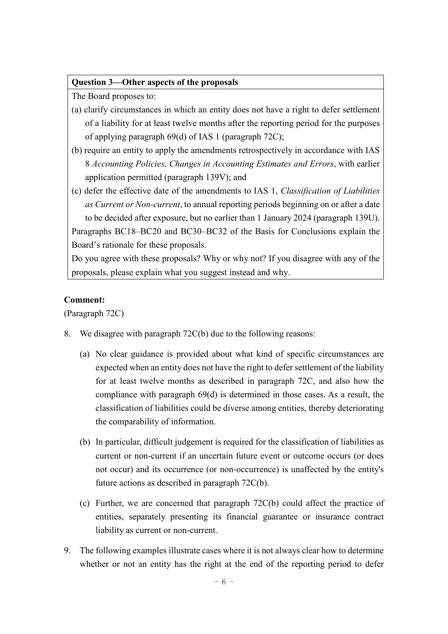#### **Question 3—Other aspects of the proposals**

The Board proposes to:

- (a) clarify circumstances in which an entity does not have a right to defer settlement of a liability for at least twelve months after the reporting period for the purposes of applying paragraph 69(d) of IAS 1 (paragraph 72C);
- (b) require an entity to apply the amendments retrospectively in accordance with IAS 8 *Accounting Policies, Changes in Accounting Estimates and Errors*, with earlier application permitted (paragraph 139V); and
- (c) defer the effective date of the amendments to IAS 1, *Classification of Liabilities as Current or Non-current*, to annual reporting periods beginning on or after a date to be decided after exposure, but no earlier than 1 January 2024 (paragraph 139U). Paragraphs BC18–BC20 and BC30–BC32 of the Basis for Conclusions explain the Board's rationale for these proposals.

Do you agree with these proposals? Why or why not? If you disagree with any of the proposals, please explain what you suggest instead and why.

#### **Comment:**

(Paragraph 72C)

- 8. We disagree with paragraph 72C(b) due to the following reasons:
	- (a) No clear guidance is provided about what kind of specific circumstances are expected when an entity does not have the right to defer settlement of the liability for at least twelve months as described in paragraph 72C, and also how the compliance with paragraph 69(d) is determined in those cases. As a result, the classification of liabilities could be diverse among entities, thereby deteriorating the comparability of information.
	- (b) In particular, difficult judgement is required for the classification of liabilities as current or non-current if an uncertain future event or outcome occurs (or does not occur) and its occurrence (or non-occurrence) is unaffected by the entity's future actions as described in paragraph 72C(b).
	- (c) Further, we are concerned that paragraph 72C(b) could affect the practice of entities, separately presenting its financial guarantee or insurance contract liability as current or non-current.
- 9. The following examples illustrate cases where it is not always clear how to determine whether or not an entity has the right at the end of the reporting period to defer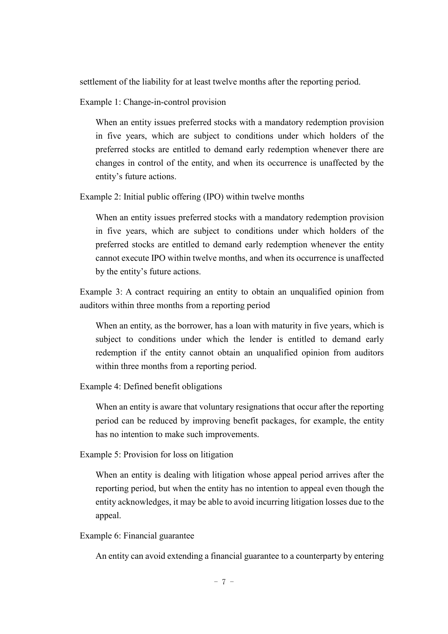settlement of the liability for at least twelve months after the reporting period.

Example 1: Change-in-control provision

When an entity issues preferred stocks with a mandatory redemption provision in five years, which are subject to conditions under which holders of the preferred stocks are entitled to demand early redemption whenever there are changes in control of the entity, and when its occurrence is unaffected by the entity's future actions.

Example 2: Initial public offering (IPO) within twelve months

When an entity issues preferred stocks with a mandatory redemption provision in five years, which are subject to conditions under which holders of the preferred stocks are entitled to demand early redemption whenever the entity cannot execute IPO within twelve months, and when its occurrence is unaffected by the entity's future actions.

Example 3: A contract requiring an entity to obtain an unqualified opinion from auditors within three months from a reporting period

When an entity, as the borrower, has a loan with maturity in five years, which is subject to conditions under which the lender is entitled to demand early redemption if the entity cannot obtain an unqualified opinion from auditors within three months from a reporting period.

Example 4: Defined benefit obligations

When an entity is aware that voluntary resignations that occur after the reporting period can be reduced by improving benefit packages, for example, the entity has no intention to make such improvements.

Example 5: Provision for loss on litigation

When an entity is dealing with litigation whose appeal period arrives after the reporting period, but when the entity has no intention to appeal even though the entity acknowledges, it may be able to avoid incurring litigation losses due to the appeal.

Example 6: Financial guarantee

An entity can avoid extending a financial guarantee to a counterparty by entering